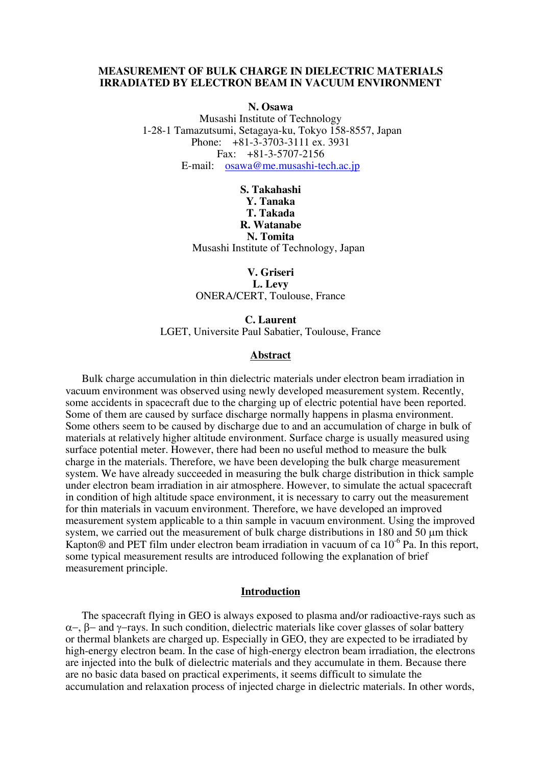### **MEASUREMENT OF BULK CHARGE IN DIELECTRIC MATERIALS IRRADIATED BY ELECTRON BEAM IN VACUUM ENVIRONMENT**

**N. Osawa** 

Musashi Institute of Technology 1-28-1 Tamazutsumi, Setagaya-ku, Tokyo 158-8557, Japan Phone: +81-3-3703-3111 ex. 3931 Fax: +81-3-5707-2156 E-mail: [osawa@me.musashi-tech.ac.jp](mailto:osawa@me.musashi-tech.ac.jp)

## **S. Takahashi Y. Tanaka T. Takada R. Watanabe N. Tomita** Musashi Institute of Technology, Japan

**V. Griseri L. Levy**  ONERA/CERT, Toulouse, France

**C. Laurent**  LGET, Universite Paul Sabatier, Toulouse, France

### **Abstract**

Bulk charge accumulation in thin dielectric materials under electron beam irradiation in vacuum environment was observed using newly developed measurement system. Recently, some accidents in spacecraft due to the charging up of electric potential have been reported. Some of them are caused by surface discharge normally happens in plasma environment. Some others seem to be caused by discharge due to and an accumulation of charge in bulk of materials at relatively higher altitude environment. Surface charge is usually measured using surface potential meter. However, there had been no useful method to measure the bulk charge in the materials. Therefore, we have been developing the bulk charge measurement system. We have already succeeded in measuring the bulk charge distribution in thick sample under electron beam irradiation in air atmosphere. However, to simulate the actual spacecraft in condition of high altitude space environment, it is necessary to carry out the measurement for thin materials in vacuum environment. Therefore, we have developed an improved measurement system applicable to a thin sample in vacuum environment. Using the improved system, we carried out the measurement of bulk charge distributions in 180 and 50 µm thick Kapton<sup>®</sup> and PET film under electron beam irradiation in vacuum of ca  $10^{-6}$  Pa. In this report, some typical measurement results are introduced following the explanation of brief measurement principle.

#### **Introduction**

The spacecraft flying in GEO is always exposed to plasma and/or radioactive-rays such as α−, β− and γ−rays. In such condition, dielectric materials like cover glasses of solar battery or thermal blankets are charged up. Especially in GEO, they are expected to be irradiated by high-energy electron beam. In the case of high-energy electron beam irradiation, the electrons are injected into the bulk of dielectric materials and they accumulate in them. Because there are no basic data based on practical experiments, it seems difficult to simulate the accumulation and relaxation process of injected charge in dielectric materials. In other words,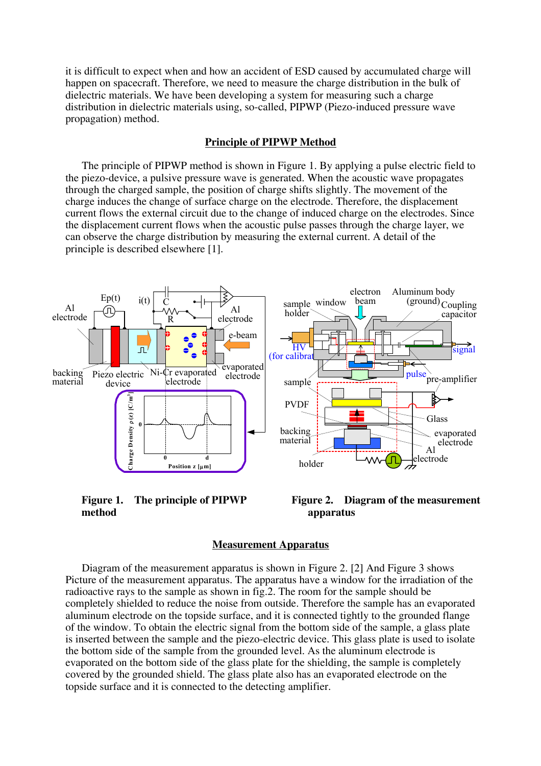it is difficult to expect when and how an accident of ESD caused by accumulated charge will happen on spacecraft. Therefore, we need to measure the charge distribution in the bulk of dielectric materials. We have been developing a system for measuring such a charge distribution in dielectric materials using, so-called, PIPWP (Piezo-induced pressure wave propagation) method.

### **Principle of PIPWP Method**

The principle of PIPWP method is shown in Figure 1. By applying a pulse electric field to the piezo-device, a pulsive pressure wave is generated. When the acoustic wave propagates through the charged sample, the position of charge shifts slightly. The movement of the charge induces the change of surface charge on the electrode. Therefore, the displacement current flows the external circuit due to the change of induced charge on the electrodes. Since the displacement current flows when the acoustic pulse passes through the charge layer, we can observe the charge distribution by measuring the external current. A detail of the principle is described elsewhere [1].



**Figure 1. The principle of PIPWP method**



### **Measurement Apparatus**

 Diagram of the measurement apparatus is shown in Figure 2. [2] And Figure 3 shows Picture of the measurement apparatus. The apparatus have a window for the irradiation of the radioactive rays to the sample as shown in fig.2. The room for the sample should be completely shielded to reduce the noise from outside. Therefore the sample has an evaporated aluminum electrode on the topside surface, and it is connected tightly to the grounded flange of the window. To obtain the electric signal from the bottom side of the sample, a glass plate is inserted between the sample and the piezo-electric device. This glass plate is used to isolate the bottom side of the sample from the grounded level. As the aluminum electrode is evaporated on the bottom side of the glass plate for the shielding, the sample is completely covered by the grounded shield. The glass plate also has an evaporated electrode on the topside surface and it is connected to the detecting amplifier.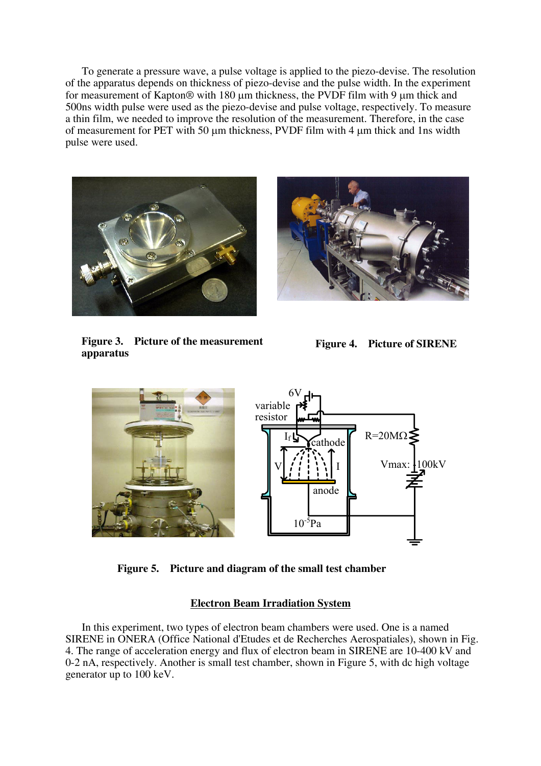To generate a pressure wave, a pulse voltage is applied to the piezo-devise. The resolution of the apparatus depends on thickness of piezo-devise and the pulse width. In the experiment for measurement of Kapton® with 180 µm thickness, the PVDF film with 9 µm thick and 500ns width pulse were used as the piezo-devise and pulse voltage, respectively. To measure a thin film, we needed to improve the resolution of the measurement. Therefore, in the case of measurement for PET with 50 µm thickness, PVDF film with 4 µm thick and 1ns width pulse were used.





**Figure 3. Picture of the measurement apparatus** 

**Figure 4. Picture of SIRENE**



**Figure 5. Picture and diagram of the small test chamber** 

# **Electron Beam Irradiation System**

In this experiment, two types of electron beam chambers were used. One is a named SIRENE in ONERA (Office National d'Etudes et de Recherches Aerospatiales), shown in Fig. 4. The range of acceleration energy and flux of electron beam in SIRENE are 10-400 kV and 0-2 nA, respectively. Another is small test chamber, shown in Figure 5, with dc high voltage generator up to 100 keV.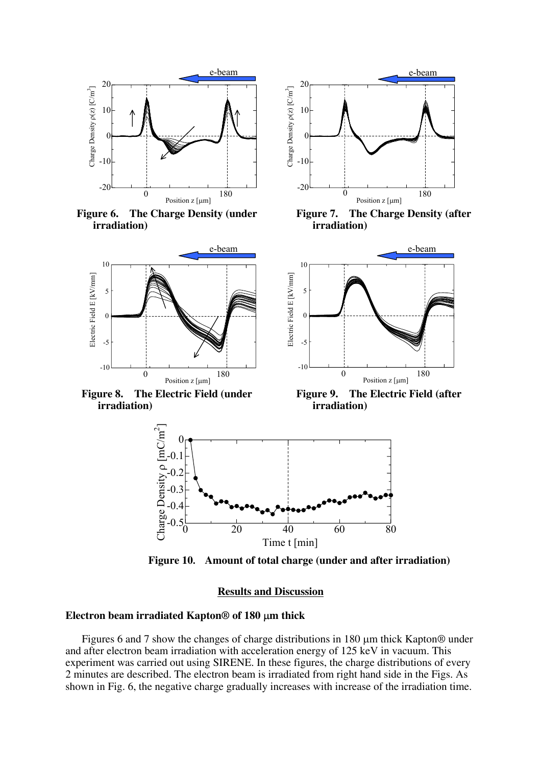

**Figure 6. The Charge Density (under irradiation)**



**Figure 7. The Charge Density (after irradiation)**



**Figure 10. Amount of total charge (under and after irradiation)**

### **Results and Discussion**

### **Electron beam irradiated Kapton® of 180** µ**m thick**

Figures 6 and 7 show the changes of charge distributions in 180  $\mu$ m thick Kapton® under and after electron beam irradiation with acceleration energy of 125 keV in vacuum. This experiment was carried out using SIRENE. In these figures, the charge distributions of every 2 minutes are described. The electron beam is irradiated from right hand side in the Figs. As shown in Fig. 6, the negative charge gradually increases with increase of the irradiation time.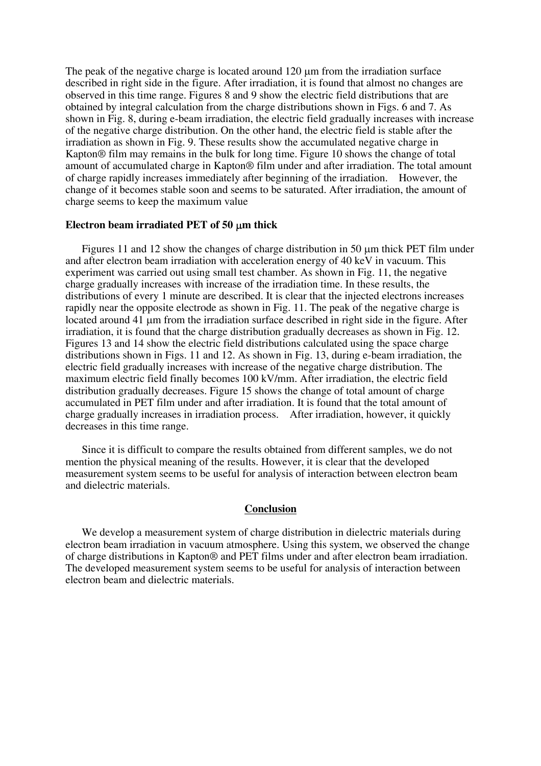The peak of the negative charge is located around 120  $\mu$ m from the irradiation surface described in right side in the figure. After irradiation, it is found that almost no changes are observed in this time range. Figures 8 and 9 show the electric field distributions that are obtained by integral calculation from the charge distributions shown in Figs. 6 and 7. As shown in Fig. 8, during e-beam irradiation, the electric field gradually increases with increase of the negative charge distribution. On the other hand, the electric field is stable after the irradiation as shown in Fig. 9. These results show the accumulated negative charge in Kapton® film may remains in the bulk for long time. Figure 10 shows the change of total amount of accumulated charge in Kapton® film under and after irradiation. The total amount of charge rapidly increases immediately after beginning of the irradiation. However, the change of it becomes stable soon and seems to be saturated. After irradiation, the amount of charge seems to keep the maximum value

### **Electron beam irradiated PET of 50** µ**m thick**

Figures 11 and 12 show the changes of charge distribution in 50  $\mu$ m thick PET film under and after electron beam irradiation with acceleration energy of 40 keV in vacuum. This experiment was carried out using small test chamber. As shown in Fig. 11, the negative charge gradually increases with increase of the irradiation time. In these results, the distributions of every 1 minute are described. It is clear that the injected electrons increases rapidly near the opposite electrode as shown in Fig. 11. The peak of the negative charge is located around 41 µm from the irradiation surface described in right side in the figure. After irradiation, it is found that the charge distribution gradually decreases as shown in Fig. 12. Figures 13 and 14 show the electric field distributions calculated using the space charge distributions shown in Figs. 11 and 12. As shown in Fig. 13, during e-beam irradiation, the electric field gradually increases with increase of the negative charge distribution. The maximum electric field finally becomes 100 kV/mm. After irradiation, the electric field distribution gradually decreases. Figure 15 shows the change of total amount of charge accumulated in PET film under and after irradiation. It is found that the total amount of charge gradually increases in irradiation process. After irradiation, however, it quickly decreases in this time range.

 Since it is difficult to compare the results obtained from different samples, we do not mention the physical meaning of the results. However, it is clear that the developed measurement system seems to be useful for analysis of interaction between electron beam and dielectric materials.

### **Conclusion**

We develop a measurement system of charge distribution in dielectric materials during electron beam irradiation in vacuum atmosphere. Using this system, we observed the change of charge distributions in Kapton® and PET films under and after electron beam irradiation. The developed measurement system seems to be useful for analysis of interaction between electron beam and dielectric materials.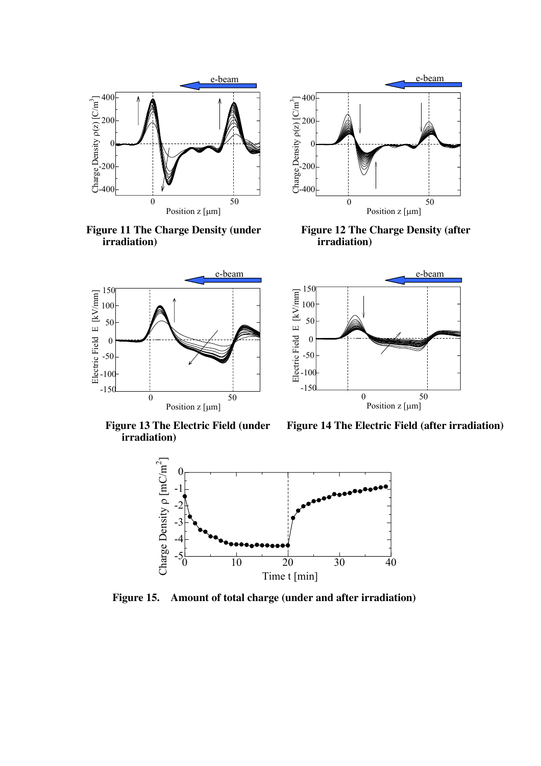





**Figure 12 The Charge Density (after irradiation)** 



e-beam e-beam 150 Electric Field E [kV/mm] Electric Field E [kV/mm] 100 50 0 -50  $-100$  $-150$ 0 50 Position z [µm]

**Figure 13 The Electric Field (under irradiation)**

**Figure 14 The Electric Field (after irradiation)** 



**Figure 15. Amount of total charge (under and after irradiation)**